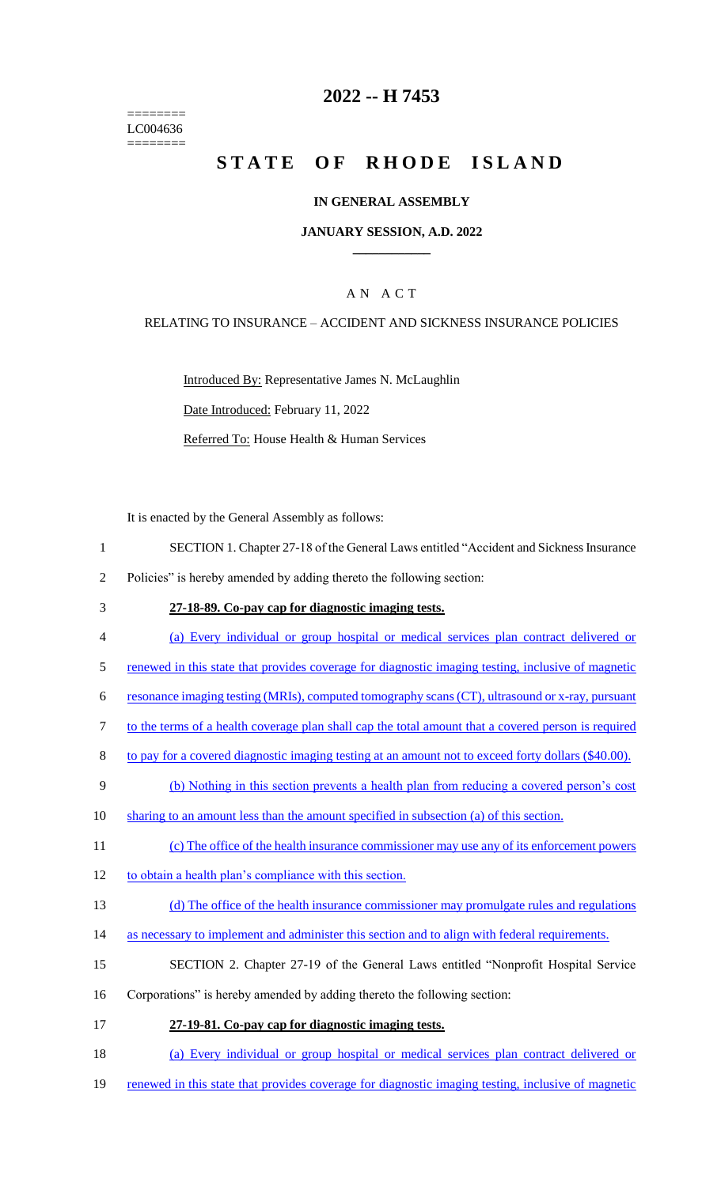======== LC004636 ========

# **2022 -- H 7453**

# **STATE OF RHODE ISLAND**

#### **IN GENERAL ASSEMBLY**

#### **JANUARY SESSION, A.D. 2022 \_\_\_\_\_\_\_\_\_\_\_\_**

### A N A C T

#### RELATING TO INSURANCE – ACCIDENT AND SICKNESS INSURANCE POLICIES

Introduced By: Representative James N. McLaughlin Date Introduced: February 11, 2022 Referred To: House Health & Human Services

It is enacted by the General Assembly as follows:

- 1 SECTION 1. Chapter 27-18 of the General Laws entitled "Accident and Sickness Insurance
- 2 Policies" is hereby amended by adding thereto the following section:
- 3 **27-18-89. Co-pay cap for diagnostic imaging tests.**
- 4 (a) Every individual or group hospital or medical services plan contract delivered or
- 5 renewed in this state that provides coverage for diagnostic imaging testing, inclusive of magnetic
- 6 resonance imaging testing (MRIs), computed tomography scans (CT), ultrasound or x-ray, pursuant
- 7 to the terms of a health coverage plan shall cap the total amount that a covered person is required
- 8 to pay for a covered diagnostic imaging testing at an amount not to exceed forty dollars (\$40.00).
- 9 (b) Nothing in this section prevents a health plan from reducing a covered person's cost
- 10 sharing to an amount less than the amount specified in subsection (a) of this section.
- 11 (c) The office of the health insurance commissioner may use any of its enforcement powers
- 12 to obtain a health plan's compliance with this section.
- 13 (d) The office of the health insurance commissioner may promulgate rules and regulations
- 14 as necessary to implement and administer this section and to align with federal requirements.
- 15 SECTION 2. Chapter 27-19 of the General Laws entitled "Nonprofit Hospital Service
- 16 Corporations" is hereby amended by adding thereto the following section:
- 17 **27-19-81. Co-pay cap for diagnostic imaging tests.**
- 18 (a) Every individual or group hospital or medical services plan contract delivered or
- 19 renewed in this state that provides coverage for diagnostic imaging testing, inclusive of magnetic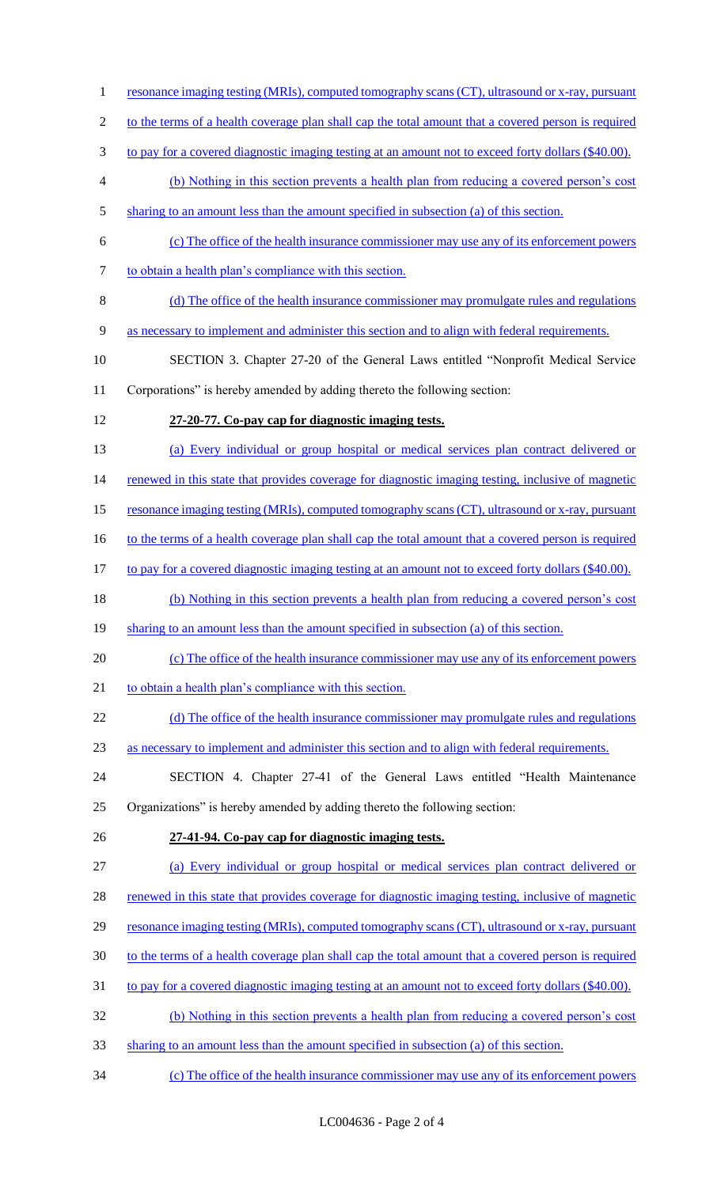1 resonance imaging testing (MRIs), computed tomography scans (CT), ultrasound or x-ray, pursuant to the terms of a health coverage plan shall cap the total amount that a covered person is required 3 to pay for a covered diagnostic imaging testing at an amount not to exceed forty dollars (\$40.00). (b) Nothing in this section prevents a health plan from reducing a covered person's cost sharing to an amount less than the amount specified in subsection (a) of this section. (c) The office of the health insurance commissioner may use any of its enforcement powers 7 to obtain a health plan's compliance with this section. (d) The office of the health insurance commissioner may promulgate rules and regulations as necessary to implement and administer this section and to align with federal requirements. SECTION 3. Chapter 27-20 of the General Laws entitled "Nonprofit Medical Service Corporations" is hereby amended by adding thereto the following section: **27-20-77. Co-pay cap for diagnostic imaging tests.** (a) Every individual or group hospital or medical services plan contract delivered or 14 renewed in this state that provides coverage for diagnostic imaging testing, inclusive of magnetic resonance imaging testing (MRIs), computed tomography scans (CT), ultrasound or x-ray, pursuant 16 to the terms of a health coverage plan shall cap the total amount that a covered person is required 17 to pay for a covered diagnostic imaging testing at an amount not to exceed forty dollars (\$40.00). (b) Nothing in this section prevents a health plan from reducing a covered person's cost 19 sharting to an amount less than the amount specified in subsection (a) of this section. (c) The office of the health insurance commissioner may use any of its enforcement powers 21 to obtain a health plan's compliance with this section. 22 (d) The office of the health insurance commissioner may promulgate rules and regulations as necessary to implement and administer this section and to align with federal requirements. SECTION 4. Chapter 27-41 of the General Laws entitled "Health Maintenance Organizations" is hereby amended by adding thereto the following section: **27-41-94. Co-pay cap for diagnostic imaging tests.** (a) Every individual or group hospital or medical services plan contract delivered or 28 renewed in this state that provides coverage for diagnostic imaging testing, inclusive of magnetic 29 resonance imaging testing (MRIs), computed tomography scans (CT), ultrasound or x-ray, pursuant to the terms of a health coverage plan shall cap the total amount that a covered person is required 31 to pay for a covered diagnostic imaging testing at an amount not to exceed forty dollars (\$40.00). (b) Nothing in this section prevents a health plan from reducing a covered person's cost sharing to an amount less than the amount specified in subsection (a) of this section. (c) The office of the health insurance commissioner may use any of its enforcement powers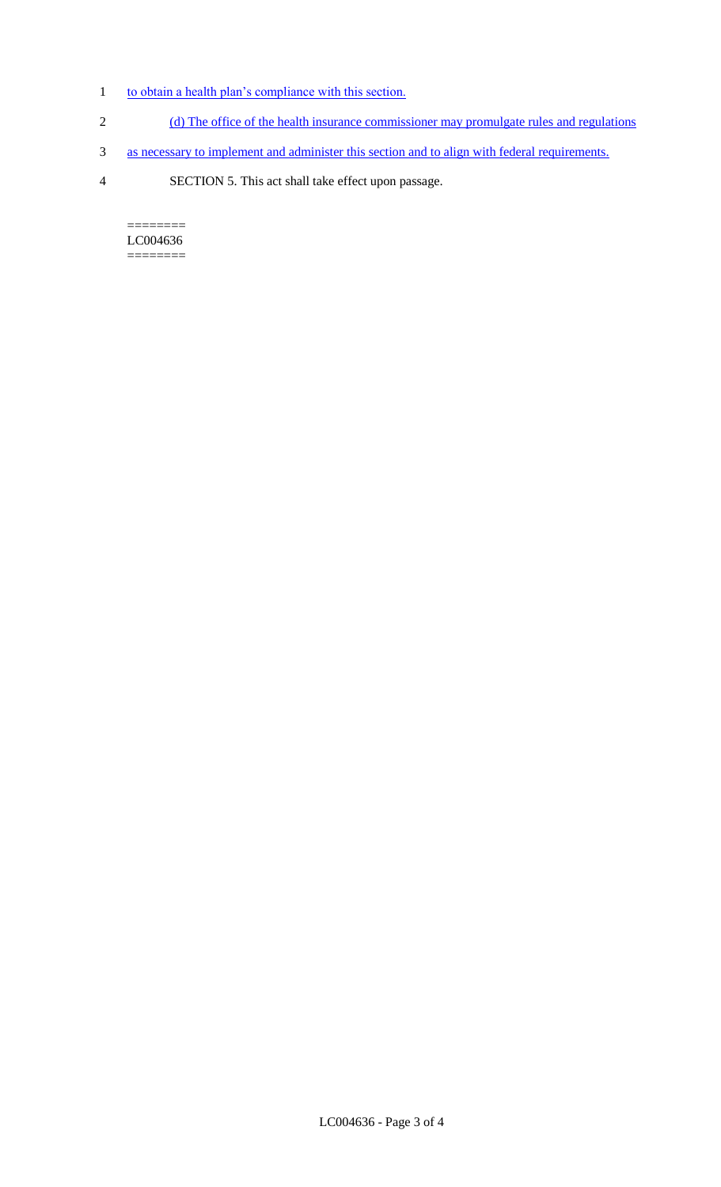- 1 to obtain a health plan's compliance with this section.
- 2 (d) The office of the health insurance commissioner may promulgate rules and regulations
- 3 as necessary to implement and administer this section and to align with federal requirements.
- 4 SECTION 5. This act shall take effect upon passage.

======== LC004636  $=$